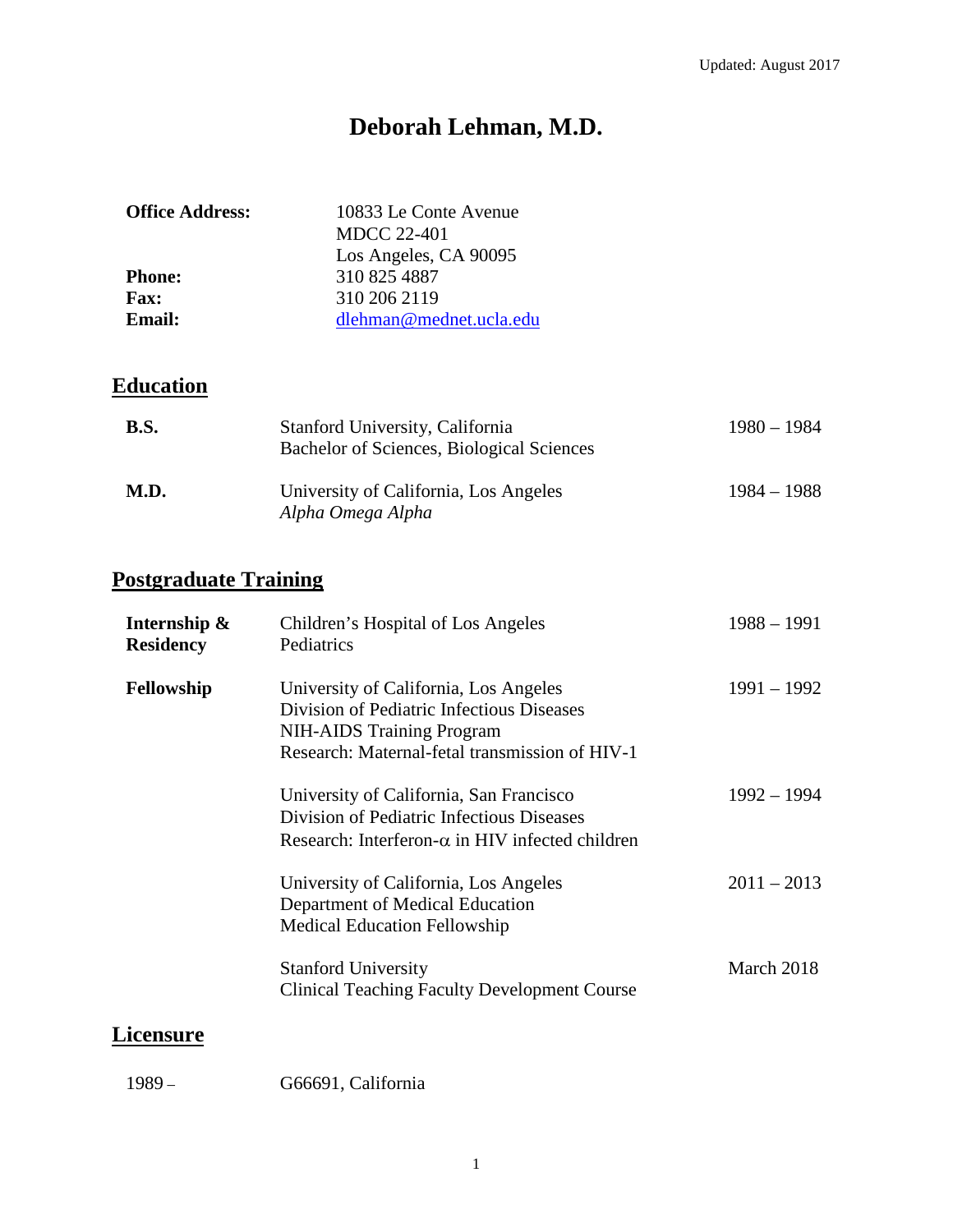# **Deborah Lehman, M.D.**

| <b>Office Address:</b> | 10833 Le Conte Avenue<br><b>MDCC 22-401</b> |
|------------------------|---------------------------------------------|
|                        | Los Angeles, CA 90095                       |
| <b>Phone:</b>          | 310 825 4887                                |
| <b>Fax:</b>            | 310 206 2119                                |
| <b>Email:</b>          | dlehman@mednet.ucla.edu                     |
|                        |                                             |

# **Education**

| <b>B.S.</b> | Stanford University, California<br>Bachelor of Sciences, Biological Sciences | $1980 - 1984$ |
|-------------|------------------------------------------------------------------------------|---------------|
| M.D.        | University of California, Los Angeles<br>Alpha Omega Alpha                   | $1984 - 1988$ |

# **Postgraduate Training**

| Internship &<br><b>Residency</b> | Children's Hospital of Los Angeles<br>Pediatrics                                                                                                                         | $1988 - 1991$ |
|----------------------------------|--------------------------------------------------------------------------------------------------------------------------------------------------------------------------|---------------|
| Fellowship                       | University of California, Los Angeles<br>Division of Pediatric Infectious Diseases<br><b>NIH-AIDS</b> Training Program<br>Research: Maternal-fetal transmission of HIV-1 | $1991 - 1992$ |
|                                  | University of California, San Francisco<br>Division of Pediatric Infectious Diseases<br>Research: Interferon- $\alpha$ in HIV infected children                          | $1992 - 1994$ |
|                                  | University of California, Los Angeles<br>Department of Medical Education<br><b>Medical Education Fellowship</b>                                                          | $2011 - 2013$ |
|                                  | <b>Stanford University</b><br><b>Clinical Teaching Faculty Development Course</b>                                                                                        | March 2018    |

## **Licensure**

| G66691, California |
|--------------------|
|                    |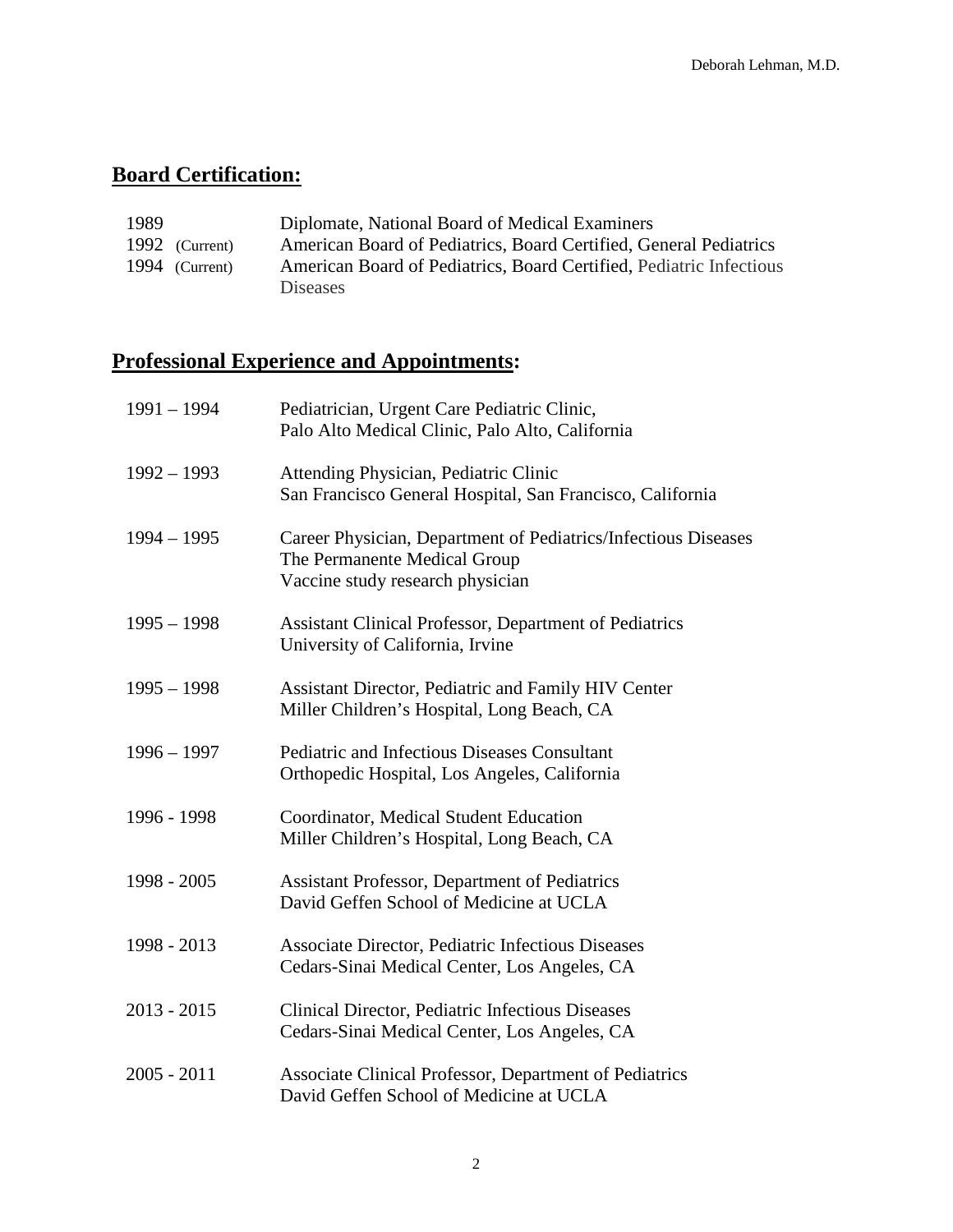# **Board Certification:**

| 1989 |                | Diplomate, National Board of Medical Examiners                      |
|------|----------------|---------------------------------------------------------------------|
|      | 1992 (Current) | American Board of Pediatrics, Board Certified, General Pediatrics   |
|      | 1994 (Current) | American Board of Pediatrics, Board Certified, Pediatric Infectious |
|      |                | <b>Diseases</b>                                                     |

# **Professional Experience and Appointments:**

| $1991 - 1994$ | Pediatrician, Urgent Care Pediatric Clinic,<br>Palo Alto Medical Clinic, Palo Alto, California                                     |
|---------------|------------------------------------------------------------------------------------------------------------------------------------|
| $1992 - 1993$ | Attending Physician, Pediatric Clinic<br>San Francisco General Hospital, San Francisco, California                                 |
| $1994 - 1995$ | Career Physician, Department of Pediatrics/Infectious Diseases<br>The Permanente Medical Group<br>Vaccine study research physician |
| $1995 - 1998$ | <b>Assistant Clinical Professor, Department of Pediatrics</b><br>University of California, Irvine                                  |
| $1995 - 1998$ | Assistant Director, Pediatric and Family HIV Center<br>Miller Children's Hospital, Long Beach, CA                                  |
| $1996 - 1997$ | <b>Pediatric and Infectious Diseases Consultant</b><br>Orthopedic Hospital, Los Angeles, California                                |
| 1996 - 1998   | Coordinator, Medical Student Education<br>Miller Children's Hospital, Long Beach, CA                                               |
| 1998 - 2005   | <b>Assistant Professor, Department of Pediatrics</b><br>David Geffen School of Medicine at UCLA                                    |
| 1998 - 2013   | Associate Director, Pediatric Infectious Diseases<br>Cedars-Sinai Medical Center, Los Angeles, CA                                  |
| $2013 - 2015$ | Clinical Director, Pediatric Infectious Diseases<br>Cedars-Sinai Medical Center, Los Angeles, CA                                   |
| $2005 - 2011$ | Associate Clinical Professor, Department of Pediatrics<br>David Geffen School of Medicine at UCLA                                  |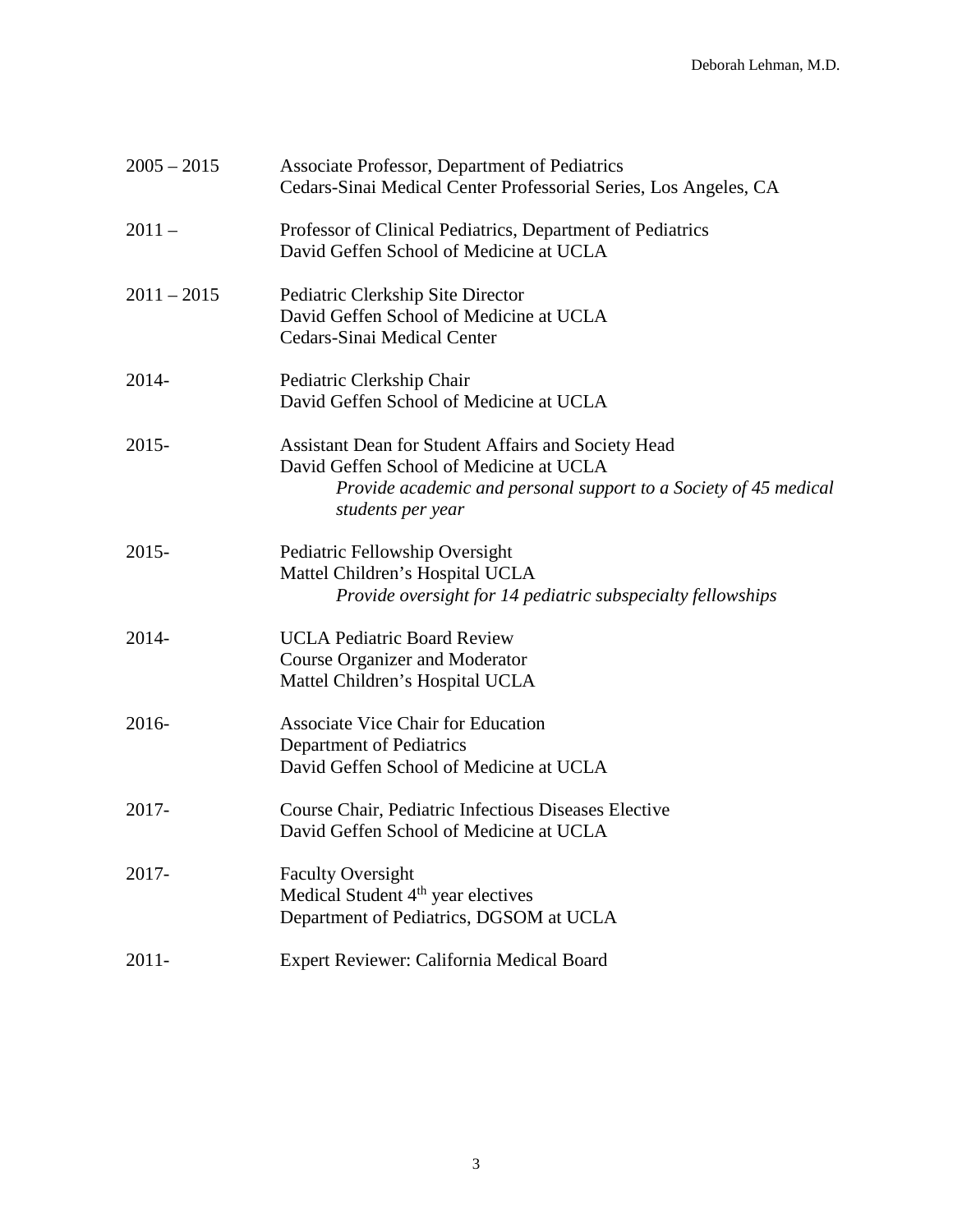| $2005 - 2015$ | Associate Professor, Department of Pediatrics<br>Cedars-Sinai Medical Center Professorial Series, Los Angeles, CA                                                                       |
|---------------|-----------------------------------------------------------------------------------------------------------------------------------------------------------------------------------------|
| $2011 -$      | Professor of Clinical Pediatrics, Department of Pediatrics<br>David Geffen School of Medicine at UCLA                                                                                   |
| $2011 - 2015$ | Pediatric Clerkship Site Director<br>David Geffen School of Medicine at UCLA<br>Cedars-Sinai Medical Center                                                                             |
| $2014 -$      | Pediatric Clerkship Chair<br>David Geffen School of Medicine at UCLA                                                                                                                    |
| $2015 -$      | Assistant Dean for Student Affairs and Society Head<br>David Geffen School of Medicine at UCLA<br>Provide academic and personal support to a Society of 45 medical<br>students per year |
| $2015 -$      | Pediatric Fellowship Oversight<br>Mattel Children's Hospital UCLA<br>Provide oversight for 14 pediatric subspecialty fellowships                                                        |
| 2014-         | <b>UCLA Pediatric Board Review</b><br><b>Course Organizer and Moderator</b><br>Mattel Children's Hospital UCLA                                                                          |
| 2016-         | <b>Associate Vice Chair for Education</b><br>Department of Pediatrics<br>David Geffen School of Medicine at UCLA                                                                        |
| 2017-         | Course Chair, Pediatric Infectious Diseases Elective<br>David Geffen School of Medicine at UCLA                                                                                         |
| $2017 -$      | <b>Faculty Oversight</b><br>Medical Student 4 <sup>th</sup> year electives<br>Department of Pediatrics, DGSOM at UCLA                                                                   |
| $2011 -$      | Expert Reviewer: California Medical Board                                                                                                                                               |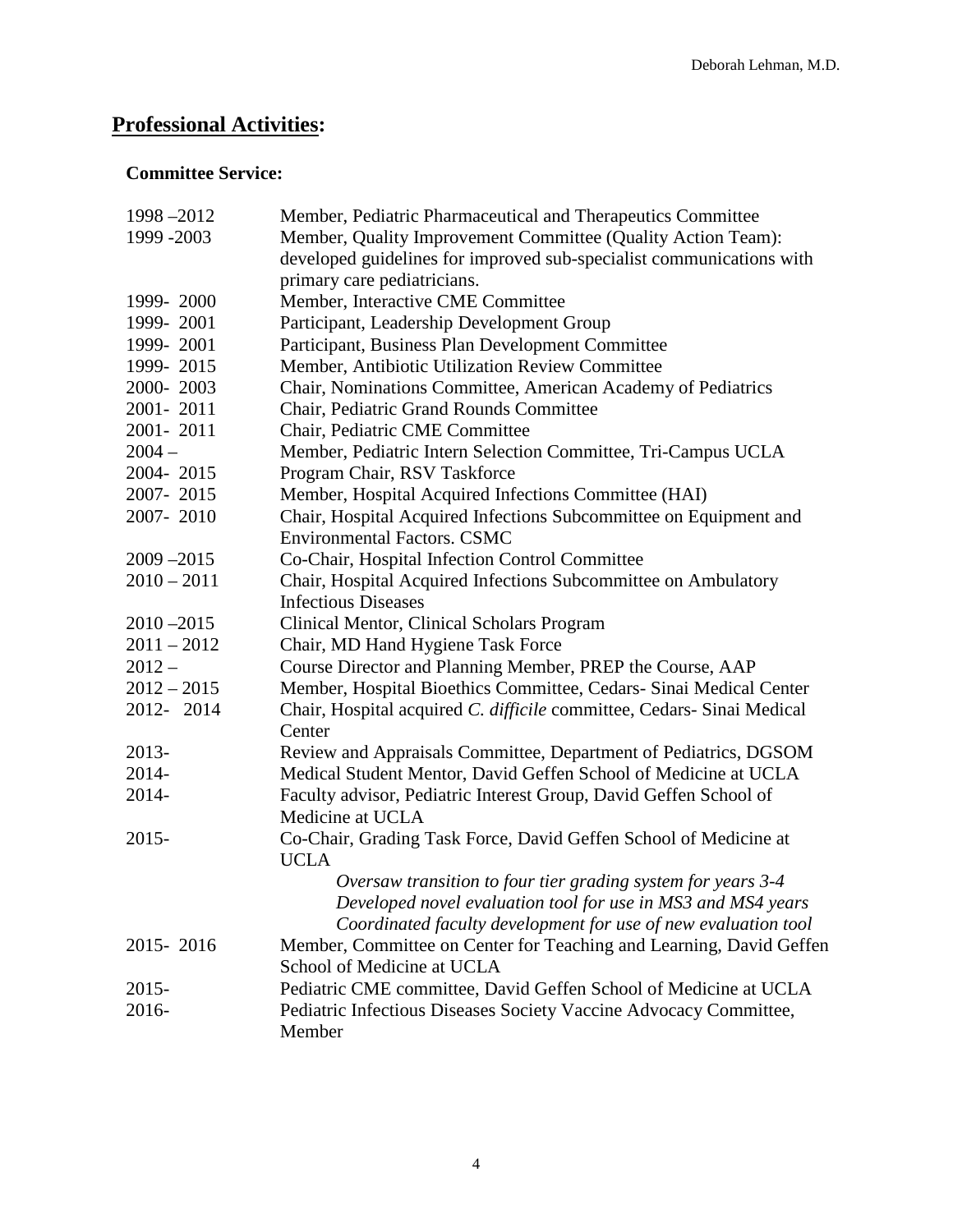# **Professional Activities:**

## **Committee Service:**

| 1998-2012     | Member, Pediatric Pharmaceutical and Therapeutics Committee            |
|---------------|------------------------------------------------------------------------|
| 1999 - 2003   | Member, Quality Improvement Committee (Quality Action Team):           |
|               | developed guidelines for improved sub-specialist communications with   |
|               | primary care pediatricians.                                            |
| 1999-2000     | Member, Interactive CME Committee                                      |
| 1999-2001     | Participant, Leadership Development Group                              |
| 1999-2001     | Participant, Business Plan Development Committee                       |
| 1999-2015     | Member, Antibiotic Utilization Review Committee                        |
| 2000-2003     | Chair, Nominations Committee, American Academy of Pediatrics           |
| 2001-2011     | Chair, Pediatric Grand Rounds Committee                                |
| 2001-2011     | Chair, Pediatric CME Committee                                         |
| $2004 -$      | Member, Pediatric Intern Selection Committee, Tri-Campus UCLA          |
| 2004-2015     | Program Chair, RSV Taskforce                                           |
| 2007-2015     | Member, Hospital Acquired Infections Committee (HAI)                   |
| 2007-2010     | Chair, Hospital Acquired Infections Subcommittee on Equipment and      |
|               | <b>Environmental Factors. CSMC</b>                                     |
| $2009 - 2015$ | Co-Chair, Hospital Infection Control Committee                         |
| $2010 - 2011$ | Chair, Hospital Acquired Infections Subcommittee on Ambulatory         |
|               | <b>Infectious Diseases</b>                                             |
| $2010 - 2015$ | Clinical Mentor, Clinical Scholars Program                             |
| $2011 - 2012$ | Chair, MD Hand Hygiene Task Force                                      |
| $2012 -$      | Course Director and Planning Member, PREP the Course, AAP              |
| $2012 - 2015$ | Member, Hospital Bioethics Committee, Cedars- Sinai Medical Center     |
| 2012-2014     | Chair, Hospital acquired C. difficile committee, Cedars- Sinai Medical |
|               | Center                                                                 |
| 2013-         | Review and Appraisals Committee, Department of Pediatrics, DGSOM       |
| 2014-         | Medical Student Mentor, David Geffen School of Medicine at UCLA        |
| 2014-         | Faculty advisor, Pediatric Interest Group, David Geffen School of      |
|               | Medicine at UCLA                                                       |
| $2015 -$      | Co-Chair, Grading Task Force, David Geffen School of Medicine at       |
|               | <b>UCLA</b>                                                            |
|               | Oversaw transition to four tier grading system for years 3-4           |
|               | Developed novel evaluation tool for use in MS3 and MS4 years           |
|               | Coordinated faculty development for use of new evaluation tool         |
| 2015-2016     | Member, Committee on Center for Teaching and Learning, David Geffen    |
|               | School of Medicine at UCLA                                             |
| 2015-         | Pediatric CME committee, David Geffen School of Medicine at UCLA       |
| 2016-         | Pediatric Infectious Diseases Society Vaccine Advocacy Committee,      |
|               | Member                                                                 |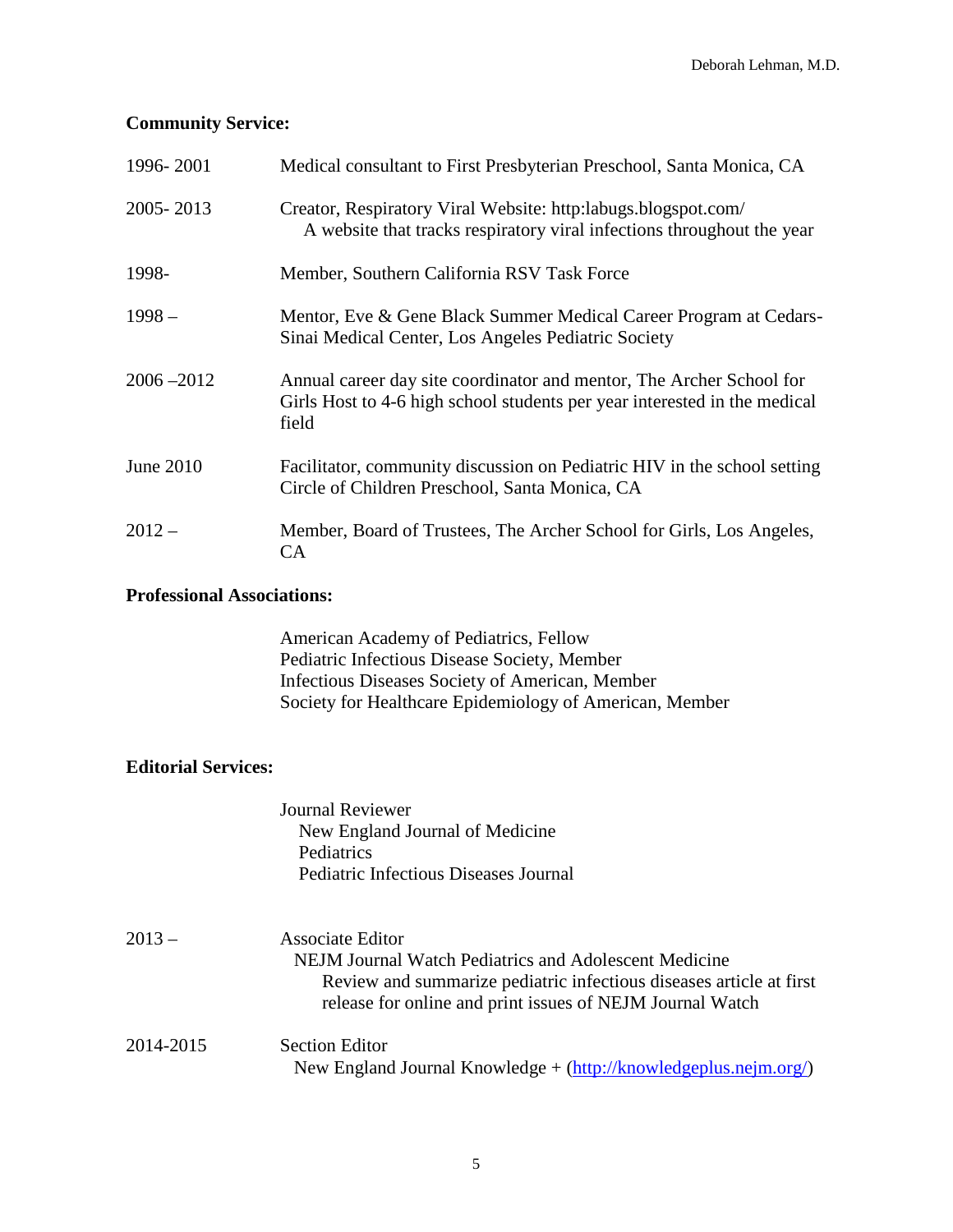## **Community Service:**

| 1996-2001     | Medical consultant to First Presbyterian Preschool, Santa Monica, CA                                                                                       |
|---------------|------------------------------------------------------------------------------------------------------------------------------------------------------------|
| 2005-2013     | Creator, Respiratory Viral Website: http: labugs.blogspot.com/<br>A website that tracks respiratory viral infections throughout the year                   |
| 1998-         | Member, Southern California RSV Task Force                                                                                                                 |
| $1998 -$      | Mentor, Eve & Gene Black Summer Medical Career Program at Cedars-<br>Sinai Medical Center, Los Angeles Pediatric Society                                   |
| $2006 - 2012$ | Annual career day site coordinator and mentor, The Archer School for<br>Girls Host to 4-6 high school students per year interested in the medical<br>field |
| June $2010$   | Facilitator, community discussion on Pediatric HIV in the school setting<br>Circle of Children Preschool, Santa Monica, CA                                 |
| $2012 -$      | Member, Board of Trustees, The Archer School for Girls, Los Angeles,<br>CA                                                                                 |

### **Professional Associations:**

American Academy of Pediatrics, Fellow Pediatric Infectious Disease Society, Member Infectious Diseases Society of American, Member Society for Healthcare Epidemiology of American, Member

### **Editorial Services:**

| Journal Reviewer                             |
|----------------------------------------------|
| New England Journal of Medicine              |
| Pediatrics                                   |
| <b>Pediatric Infectious Diseases Journal</b> |

| $2013-$   | <b>Associate Editor</b><br>NEJM Journal Watch Pediatrics and Adolescent Medicine<br>Review and summarize pediatric infectious diseases article at first<br>release for online and print issues of NEJM Journal Watch |
|-----------|----------------------------------------------------------------------------------------------------------------------------------------------------------------------------------------------------------------------|
| 2014-2015 | Section Editor<br>New England Journal Knowledge + $(http://knowledgeplus.nejm.org/)$                                                                                                                                 |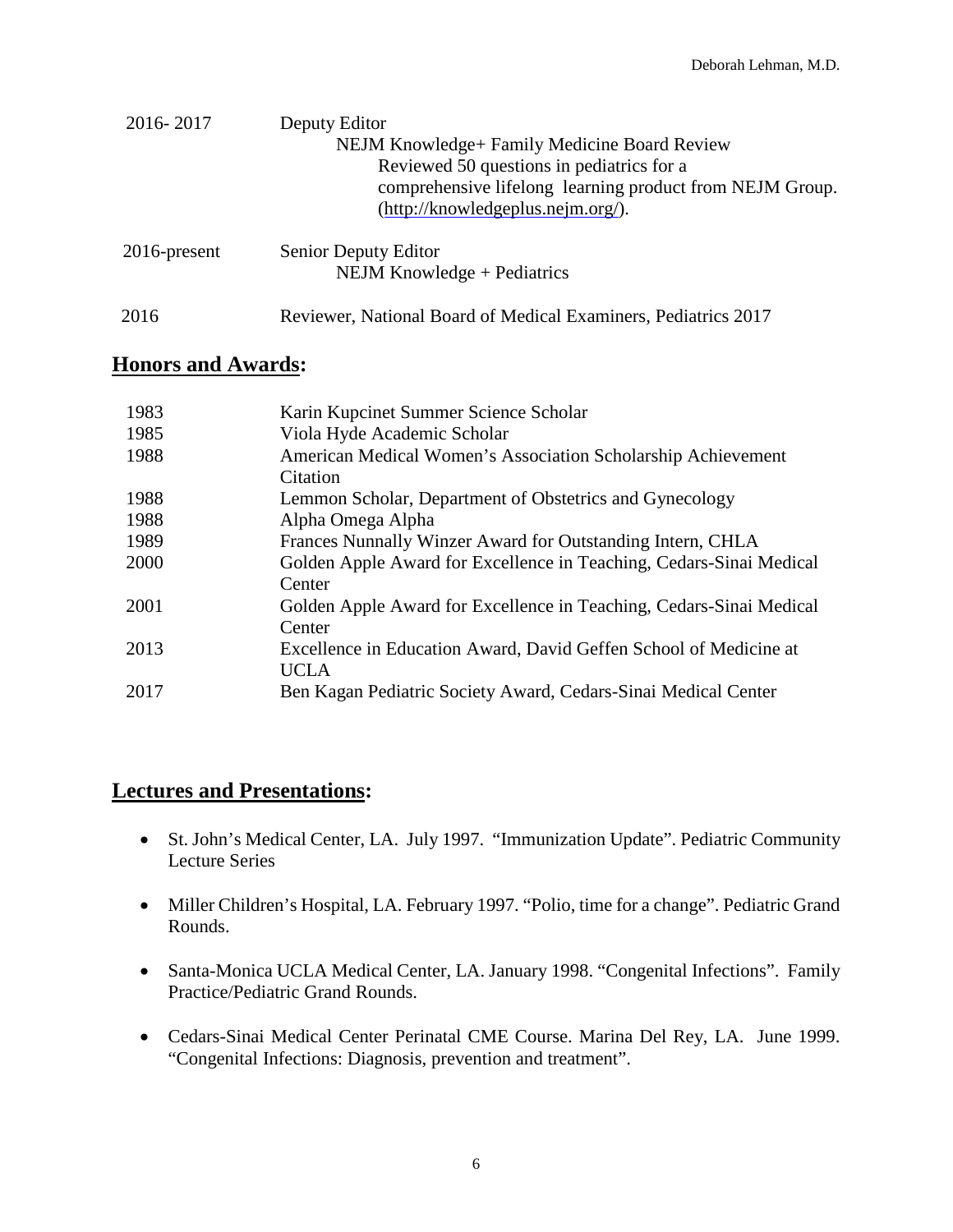| 2016-2017       | Deputy Editor                                                  |
|-----------------|----------------------------------------------------------------|
|                 | NEJM Knowledge+ Family Medicine Board Review                   |
|                 | Reviewed 50 questions in pediatrics for a                      |
|                 | comprehensive lifelong learning product from NEJM Group.       |
|                 | (http://knowledgeplus.nejm.org/).                              |
|                 |                                                                |
| $2016$ -present | Senior Deputy Editor                                           |
|                 | NEJM Knowledge + Pediatrics                                    |
|                 |                                                                |
| 2016            | Reviewer, National Board of Medical Examiners, Pediatrics 2017 |

## **Honors and Awards:**

| 1983 | Karin Kupcinet Summer Science Scholar                                            |
|------|----------------------------------------------------------------------------------|
| 1985 | Viola Hyde Academic Scholar                                                      |
| 1988 | American Medical Women's Association Scholarship Achievement<br>Citation         |
|      |                                                                                  |
| 1988 | Lemmon Scholar, Department of Obstetrics and Gynecology                          |
| 1988 | Alpha Omega Alpha                                                                |
| 1989 | Frances Nunnally Winzer Award for Outstanding Intern, CHLA                       |
| 2000 | Golden Apple Award for Excellence in Teaching, Cedars-Sinai Medical<br>Center    |
| 2001 | Golden Apple Award for Excellence in Teaching, Cedars-Sinai Medical<br>Center    |
| 2013 | Excellence in Education Award, David Geffen School of Medicine at<br><b>UCLA</b> |
| 2017 | Ben Kagan Pediatric Society Award, Cedars-Sinai Medical Center                   |

## **Lectures and Presentations:**

- St. John's Medical Center, LA. July 1997. "Immunization Update". Pediatric Community Lecture Series
- Miller Children's Hospital, LA. February 1997. "Polio, time for a change". Pediatric Grand Rounds.
- Santa-Monica UCLA Medical Center, LA. January 1998. "Congenital Infections". Family Practice/Pediatric Grand Rounds.
- Cedars-Sinai Medical Center Perinatal CME Course. Marina Del Rey, LA. June 1999. "Congenital Infections: Diagnosis, prevention and treatment".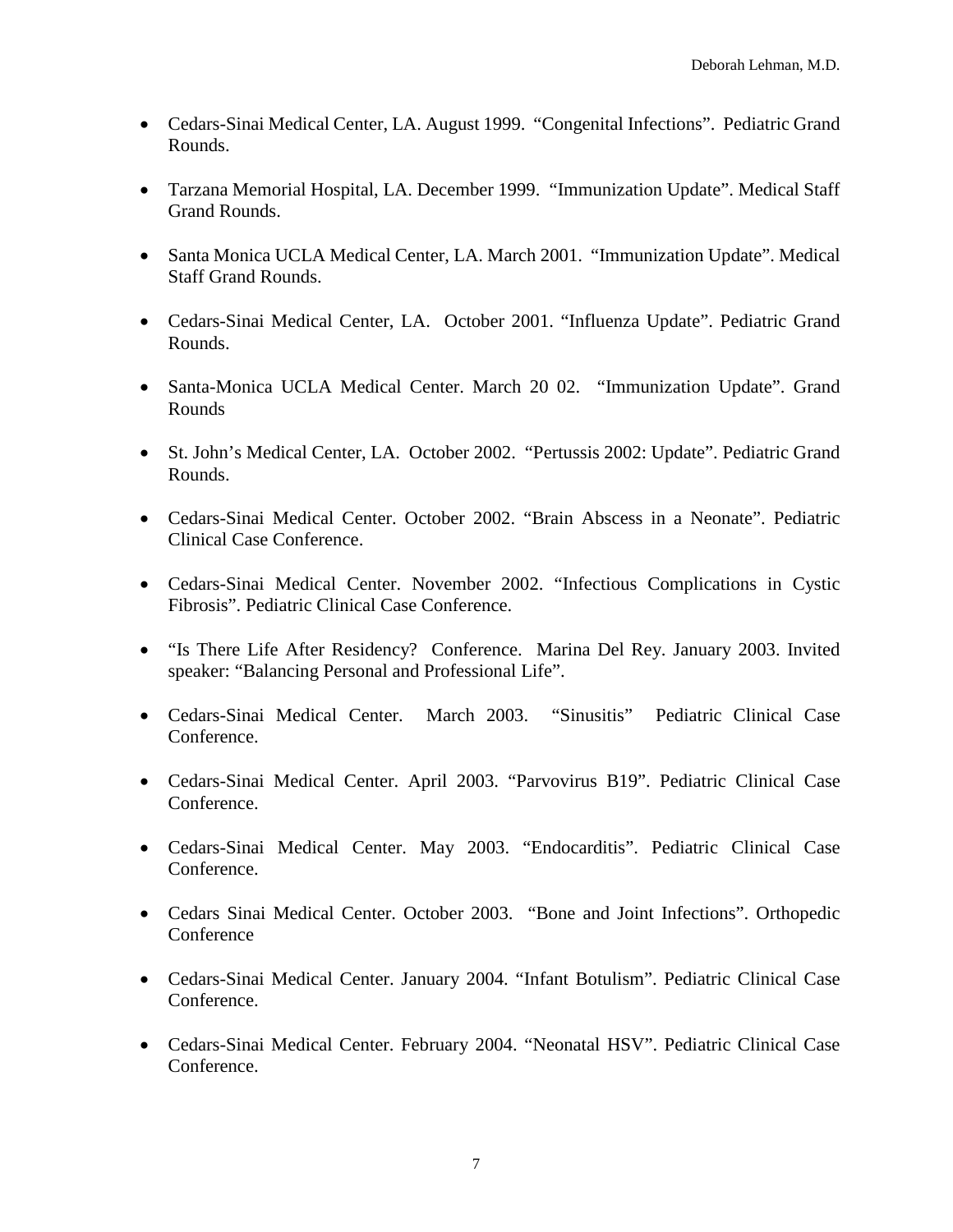- Cedars-Sinai Medical Center, LA. August 1999. "Congenital Infections". Pediatric Grand Rounds.
- Tarzana Memorial Hospital, LA. December 1999. "Immunization Update". Medical Staff Grand Rounds.
- Santa Monica UCLA Medical Center, LA. March 2001. "Immunization Update". Medical Staff Grand Rounds.
- Cedars-Sinai Medical Center, LA. October 2001. "Influenza Update". Pediatric Grand Rounds.
- Santa-Monica UCLA Medical Center. March 20 02. "Immunization Update". Grand Rounds
- St. John's Medical Center, LA. October 2002. "Pertussis 2002: Update". Pediatric Grand Rounds.
- Cedars-Sinai Medical Center. October 2002. "Brain Abscess in a Neonate". Pediatric Clinical Case Conference.
- Cedars-Sinai Medical Center. November 2002. "Infectious Complications in Cystic Fibrosis". Pediatric Clinical Case Conference.
- "Is There Life After Residency? Conference. Marina Del Rey. January 2003. Invited speaker: "Balancing Personal and Professional Life".
- Cedars-Sinai Medical Center. March 2003. "Sinusitis" Pediatric Clinical Case Conference.
- Cedars-Sinai Medical Center. April 2003. "Parvovirus B19". Pediatric Clinical Case Conference.
- Cedars-Sinai Medical Center. May 2003. "Endocarditis". Pediatric Clinical Case Conference.
- Cedars Sinai Medical Center. October 2003. "Bone and Joint Infections". Orthopedic Conference
- Cedars-Sinai Medical Center. January 2004. "Infant Botulism". Pediatric Clinical Case Conference.
- Cedars-Sinai Medical Center. February 2004. "Neonatal HSV". Pediatric Clinical Case Conference.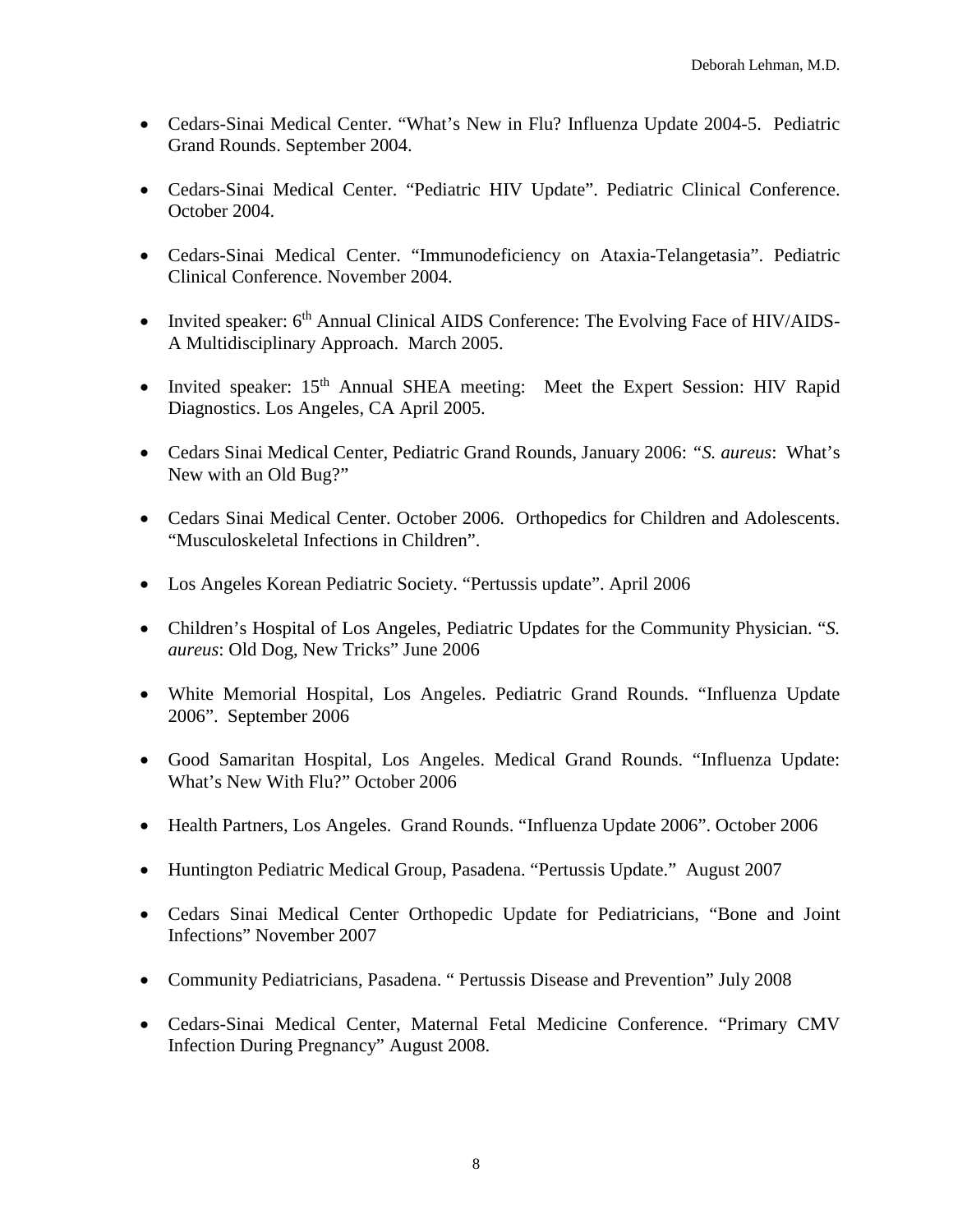- Cedars-Sinai Medical Center. "What's New in Flu? Influenza Update 2004-5. Pediatric Grand Rounds. September 2004.
- Cedars-Sinai Medical Center. "Pediatric HIV Update". Pediatric Clinical Conference. October 2004.
- Cedars-Sinai Medical Center. "Immunodeficiency on Ataxia-Telangetasia". Pediatric Clinical Conference. November 2004.
- Invited speaker: 6<sup>th</sup> Annual Clinical AIDS Conference: The Evolving Face of HIV/AIDS-A Multidisciplinary Approach. March 2005.
- Invited speaker:  $15<sup>th</sup>$  Annual SHEA meeting: Meet the Expert Session: HIV Rapid Diagnostics. Los Angeles, CA April 2005.
- Cedars Sinai Medical Center, Pediatric Grand Rounds, January 2006: *"S. aureus*: What's New with an Old Bug?"
- Cedars Sinai Medical Center. October 2006. Orthopedics for Children and Adolescents. "Musculoskeletal Infections in Children".
- Los Angeles Korean Pediatric Society. "Pertussis update". April 2006
- Children's Hospital of Los Angeles, Pediatric Updates for the Community Physician. "*S. aureus*: Old Dog, New Tricks" June 2006
- White Memorial Hospital, Los Angeles. Pediatric Grand Rounds. "Influenza Update 2006". September 2006
- Good Samaritan Hospital, Los Angeles. Medical Grand Rounds. "Influenza Update: What's New With Flu?" October 2006
- Health Partners, Los Angeles. Grand Rounds. "Influenza Update 2006". October 2006
- Huntington Pediatric Medical Group, Pasadena. "Pertussis Update." August 2007
- Cedars Sinai Medical Center Orthopedic Update for Pediatricians, "Bone and Joint Infections" November 2007
- Community Pediatricians, Pasadena. " Pertussis Disease and Prevention" July 2008
- Cedars-Sinai Medical Center, Maternal Fetal Medicine Conference. "Primary CMV Infection During Pregnancy" August 2008.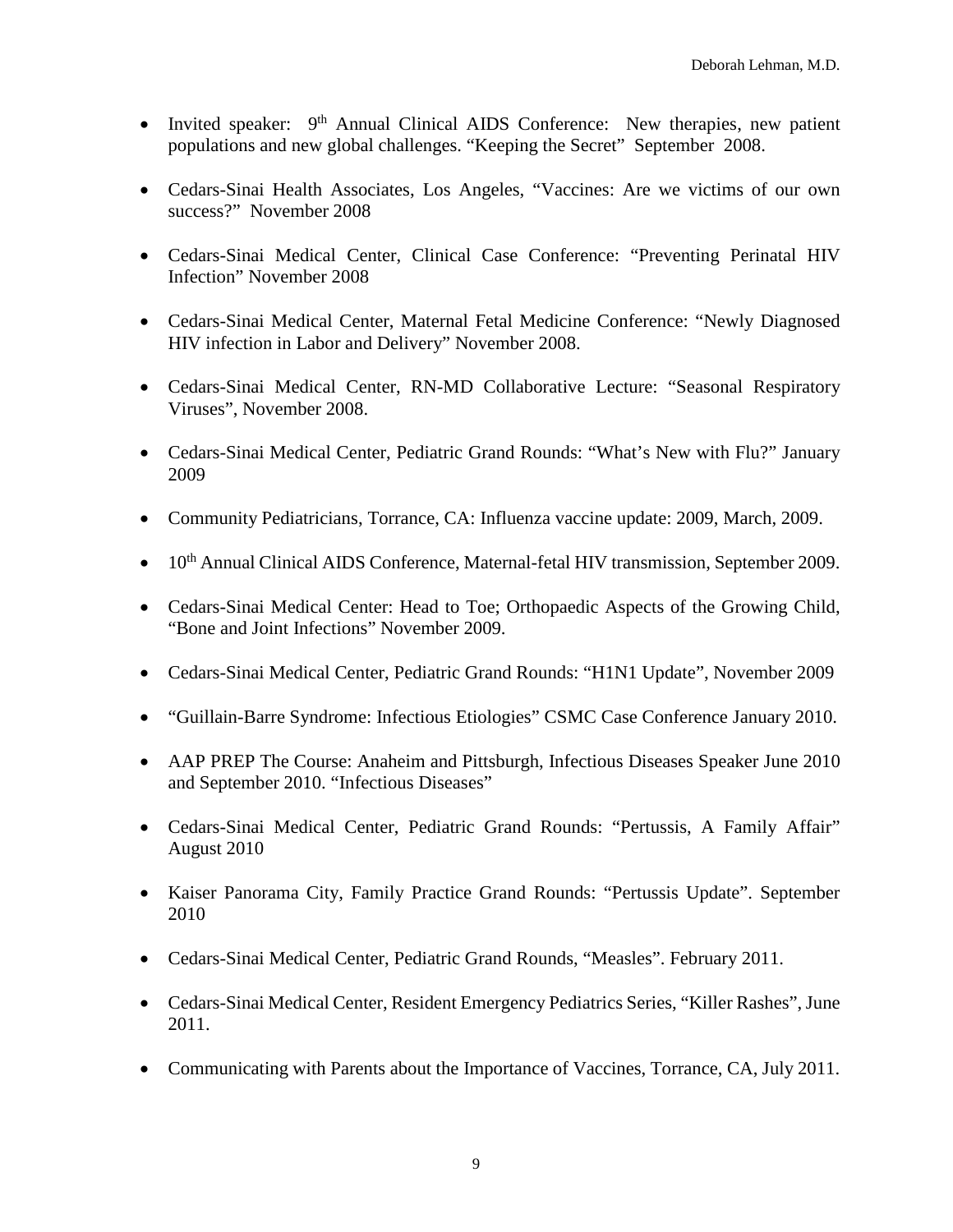- Invited speaker:  $9<sup>th</sup>$  Annual Clinical AIDS Conference: New therapies, new patient populations and new global challenges. "Keeping the Secret" September 2008.
- Cedars-Sinai Health Associates, Los Angeles, "Vaccines: Are we victims of our own success?" November 2008
- Cedars-Sinai Medical Center, Clinical Case Conference: "Preventing Perinatal HIV Infection" November 2008
- Cedars-Sinai Medical Center, Maternal Fetal Medicine Conference: "Newly Diagnosed HIV infection in Labor and Delivery" November 2008.
- Cedars-Sinai Medical Center, RN-MD Collaborative Lecture: "Seasonal Respiratory Viruses", November 2008.
- Cedars-Sinai Medical Center, Pediatric Grand Rounds: "What's New with Flu?" January 2009
- Community Pediatricians, Torrance, CA: Influenza vaccine update: 2009, March, 2009.
- 10<sup>th</sup> Annual Clinical AIDS Conference, Maternal-fetal HIV transmission, September 2009.
- Cedars-Sinai Medical Center: Head to Toe; Orthopaedic Aspects of the Growing Child, "Bone and Joint Infections" November 2009.
- Cedars-Sinai Medical Center, Pediatric Grand Rounds: "H1N1 Update", November 2009
- "Guillain-Barre Syndrome: Infectious Etiologies" CSMC Case Conference January 2010.
- AAP PREP The Course: Anaheim and Pittsburgh, Infectious Diseases Speaker June 2010 and September 2010. "Infectious Diseases"
- Cedars-Sinai Medical Center, Pediatric Grand Rounds: "Pertussis, A Family Affair" August 2010
- Kaiser Panorama City, Family Practice Grand Rounds: "Pertussis Update". September 2010
- Cedars-Sinai Medical Center, Pediatric Grand Rounds, "Measles". February 2011.
- Cedars-Sinai Medical Center, Resident Emergency Pediatrics Series, "Killer Rashes", June 2011.
- Communicating with Parents about the Importance of Vaccines, Torrance, CA, July 2011.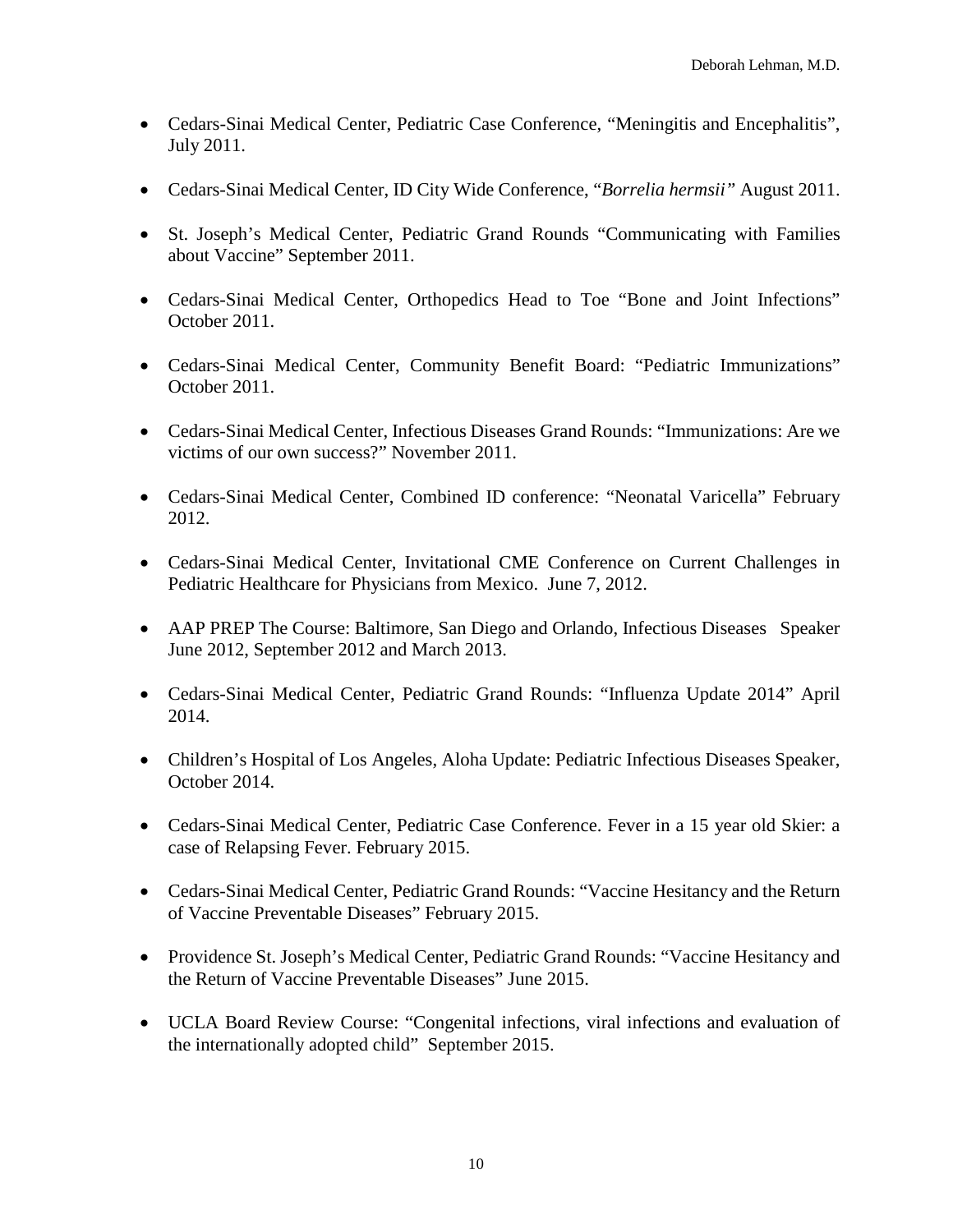- Cedars-Sinai Medical Center, Pediatric Case Conference, "Meningitis and Encephalitis", July 2011.
- Cedars-Sinai Medical Center, ID City Wide Conference, "*Borrelia hermsii"* August 2011.
- St. Joseph's Medical Center, Pediatric Grand Rounds "Communicating with Families about Vaccine" September 2011.
- Cedars-Sinai Medical Center, Orthopedics Head to Toe "Bone and Joint Infections" October 2011.
- Cedars-Sinai Medical Center, Community Benefit Board: "Pediatric Immunizations" October 2011.
- Cedars-Sinai Medical Center, Infectious Diseases Grand Rounds: "Immunizations: Are we victims of our own success?" November 2011.
- Cedars-Sinai Medical Center, Combined ID conference: "Neonatal Varicella" February 2012.
- Cedars-Sinai Medical Center, Invitational CME Conference on Current Challenges in Pediatric Healthcare for Physicians from Mexico. June 7, 2012.
- AAP PREP The Course: Baltimore, San Diego and Orlando, Infectious Diseases Speaker June 2012, September 2012 and March 2013.
- Cedars-Sinai Medical Center, Pediatric Grand Rounds: "Influenza Update 2014" April 2014.
- Children's Hospital of Los Angeles, Aloha Update: Pediatric Infectious Diseases Speaker, October 2014.
- Cedars-Sinai Medical Center, Pediatric Case Conference. Fever in a 15 year old Skier: a case of Relapsing Fever. February 2015.
- Cedars-Sinai Medical Center, Pediatric Grand Rounds: "Vaccine Hesitancy and the Return of Vaccine Preventable Diseases" February 2015.
- Providence St. Joseph's Medical Center, Pediatric Grand Rounds: "Vaccine Hesitancy and the Return of Vaccine Preventable Diseases" June 2015.
- UCLA Board Review Course: "Congenital infections, viral infections and evaluation of the internationally adopted child" September 2015.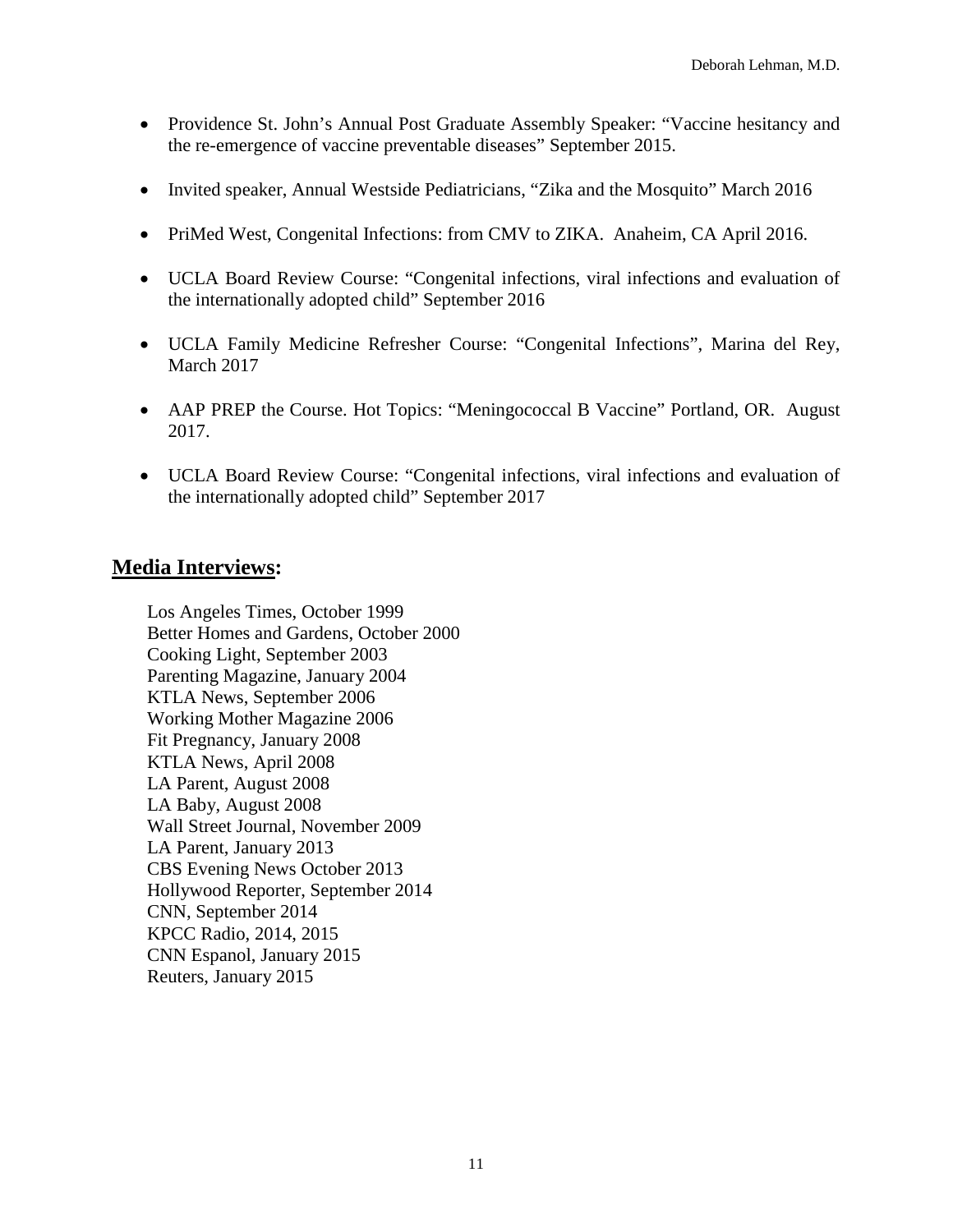- Providence St. John's Annual Post Graduate Assembly Speaker: "Vaccine hesitancy and the re-emergence of vaccine preventable diseases" September 2015.
- Invited speaker, Annual Westside Pediatricians, "Zika and the Mosquito" March 2016
- PriMed West, Congenital Infections: from CMV to ZIKA. Anaheim, CA April 2016.
- UCLA Board Review Course: "Congenital infections, viral infections and evaluation of the internationally adopted child" September 2016
- UCLA Family Medicine Refresher Course: "Congenital Infections", Marina del Rey, March 2017
- AAP PREP the Course. Hot Topics: "Meningococcal B Vaccine" Portland, OR. August 2017.
- UCLA Board Review Course: "Congenital infections, viral infections and evaluation of the internationally adopted child" September 2017

## **Media Interviews:**

Los Angeles Times, October 1999 Better Homes and Gardens, October 2000 Cooking Light, September 2003 Parenting Magazine, January 2004 KTLA News, September 2006 Working Mother Magazine 2006 Fit Pregnancy, January 2008 KTLA News, April 2008 LA Parent, August 2008 LA Baby, August 2008 Wall Street Journal, November 2009 LA Parent, January 2013 CBS Evening News October 2013 Hollywood Reporter, September 2014 CNN, September 2014 KPCC Radio, 2014, 2015 CNN Espanol, January 2015 Reuters, January 2015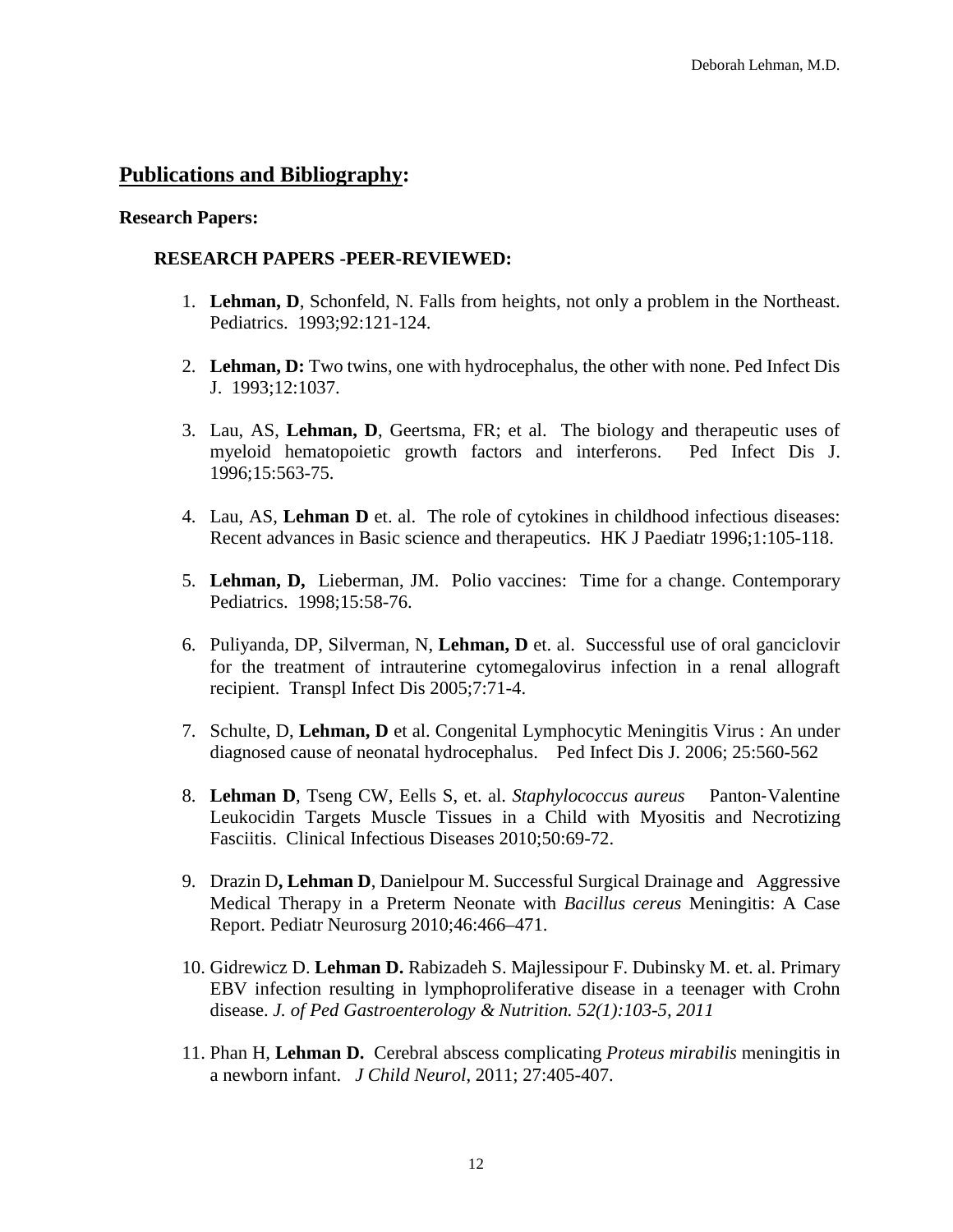## **Publications and Bibliography:**

#### **Research Papers:**

### **RESEARCH PAPERS -PEER-REVIEWED:**

- 1. **Lehman, D**, Schonfeld, N. Falls from heights, not only a problem in the Northeast. Pediatrics. 1993;92:121-124.
- 2. **Lehman, D:** Two twins, one with hydrocephalus, the other with none. Ped Infect Dis J. 1993;12:1037.
- 3. Lau, AS, **Lehman, D**, Geertsma, FR; et al. The biology and therapeutic uses of myeloid hematopoietic growth factors and interferons. Ped Infect Dis J. 1996;15:563-75.
- 4. Lau, AS, **Lehman D** et. al. The role of cytokines in childhood infectious diseases: Recent advances in Basic science and therapeutics. HK J Paediatr 1996;1:105-118.
- 5. **Lehman, D,** Lieberman, JM. Polio vaccines: Time for a change. Contemporary Pediatrics. 1998;15:58-76.
- 6. Puliyanda, DP, Silverman, N, **Lehman, D** et. al. Successful use of oral ganciclovir for the treatment of intrauterine cytomegalovirus infection in a renal allograft recipient. Transpl Infect Dis 2005;7:71-4.
- 7. Schulte, D, **Lehman, D** et al. Congenital Lymphocytic Meningitis Virus : An under diagnosed cause of neonatal hydrocephalus. Ped Infect Dis J. 2006; 25:560-562
- 8. **Lehman D**, Tseng CW, Eells S, et. al. *Staphylococcus aureus* Panton‐Valentine Leukocidin Targets Muscle Tissues in a Child with Myositis and Necrotizing Fasciitis. Clinical Infectious Diseases 2010;50:69-72.
- 9. Drazin D**, Lehman D**, Danielpour M. Successful Surgical Drainage and Aggressive Medical Therapy in a Preterm Neonate with *Bacillus cereus* Meningitis: A Case Report. Pediatr Neurosurg 2010;46:466–471.
- 10. Gidrewicz D. **Lehman D.** Rabizadeh S. Majlessipour F. Dubinsky M. et. al. [Primary](http://ovidsp.tx.ovid.com/sp-3.4.1b/ovidweb.cgi?&S=BADJFPDPMIDDEMJONCBLNCJCPACDAA00&Link+Set=S.sh.15%7c1%7csl_10)  [EBV infection resulting in lymphoproliferative disease in a teenager with Crohn](http://ovidsp.tx.ovid.com/sp-3.4.1b/ovidweb.cgi?&S=BADJFPDPMIDDEMJONCBLNCJCPACDAA00&Link+Set=S.sh.15%7c1%7csl_10)  [disease.](http://ovidsp.tx.ovid.com/sp-3.4.1b/ovidweb.cgi?&S=BADJFPDPMIDDEMJONCBLNCJCPACDAA00&Link+Set=S.sh.15%7c1%7csl_10) *J. of Ped Gastroenterology & Nutrition. 52(1):103-5, 2011*
- 11. Phan H*,* **Lehman D.**Cerebral abscess complicating *Proteus mirabilis* meningitis in a newborn infant. *J Child Neurol*, 2011; 27:405-407.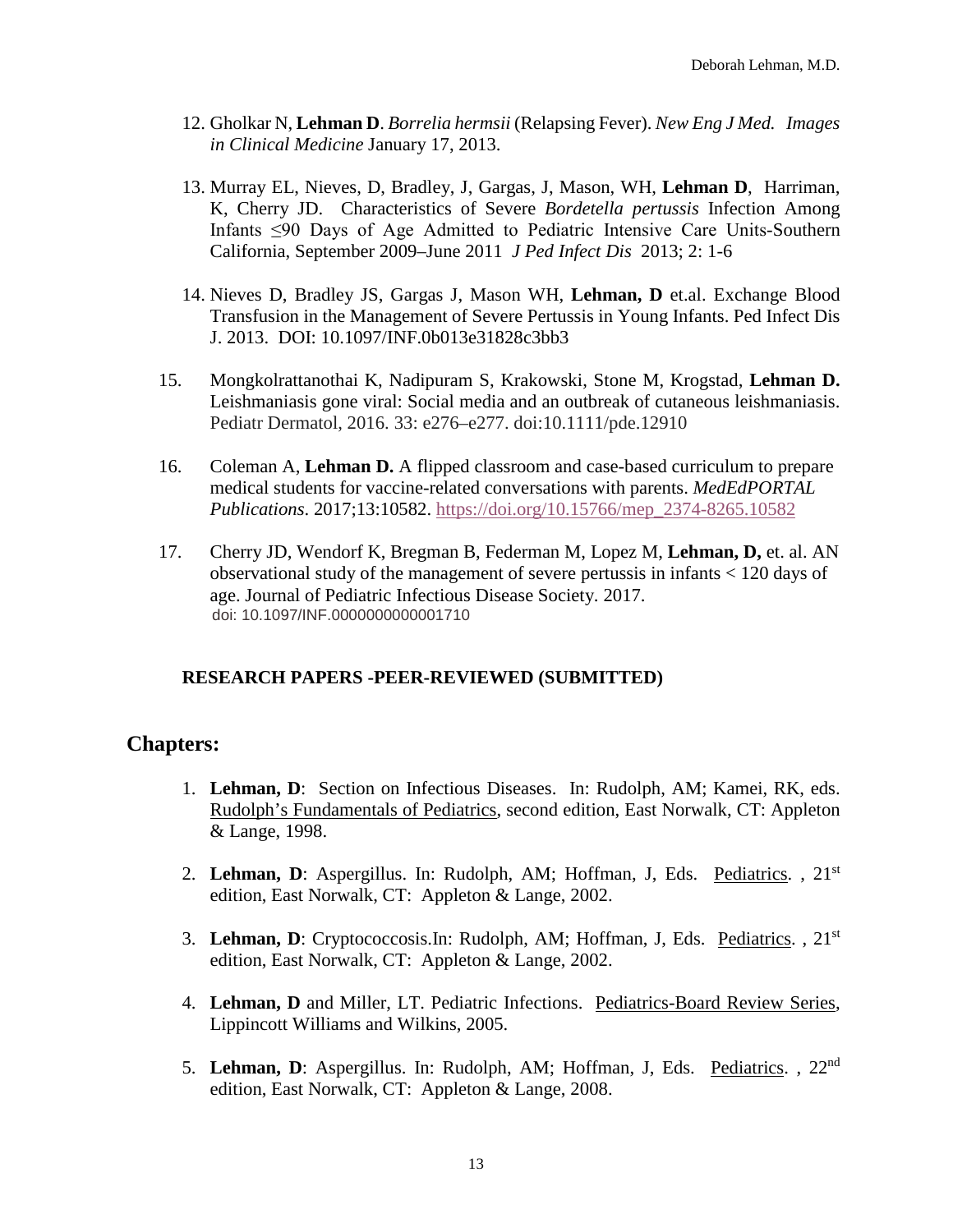- 12. Gholkar N, **Lehman D**. *Borrelia hermsii* (Relapsing Fever). *New Eng J Med. Images in Clinical Medicine* January 17, 2013.
- 13. Murray EL, Nieves, D, Bradley, J, Gargas, J, Mason, WH, **Lehman D**, Harriman, K, Cherry JD. Characteristics of Severe *Bordetella pertussis* Infection Among Infants ≤90 Days of Age Admitted to Pediatric Intensive Care Units-Southern California, September 2009–June 2011 *J Ped Infect Dis* 2013; 2: 1-6
- 14. Nieves D, Bradley JS, Gargas J, Mason WH, **Lehman, D** et.al. Exchange Blood Transfusion in the Management of Severe Pertussis in Young Infants. Ped Infect Dis J. 2013. DOI: 10.1097/INF.0b013e31828c3bb3
- 15. Mongkolrattanothai K, Nadipuram S, Krakowski, Stone M, Krogstad, **Lehman D.** Leishmaniasis gone viral: Social media and an outbreak of cutaneous leishmaniasis. Pediatr Dermatol, 2016. 33: e276–e277. doi:10.1111/pde.12910
- 16. Coleman A, **Lehman D.** A flipped classroom and case-based curriculum to prepare medical students for vaccine-related conversations with parents. *MedEdPORTAL Publications*. 2017;13:10582. [https://doi.org/10.15766/mep\\_2374-8265.10582](https://na01.safelinks.protection.outlook.com/?url=https%3A%2F%2Fdoi.org%2F10.15766%2Fmep_2374-8265.10582&data=01%7C01%7Cdlehman%40mednet.ucla.edu%7C78df6067b06e45fcd28108d49ca1c485%7C39c3716b64714fd5ac04a7dbaa32782b%7C0&sdata=Dwny1hSfHVhRwOsqbmVPAgWEO2VbUJrZsddWiYrUlYU%3D&reserved=0)
- 17. Cherry JD, Wendorf K, Bregman B, Federman M, Lopez M, **Lehman, D,** et. al. AN observational study of the management of severe pertussis in infants < 120 days of age. Journal of Pediatric Infectious Disease Society. 2017. doi: 10.1097/INF.0000000000001710

### **RESEARCH PAPERS -PEER-REVIEWED (SUBMITTED)**

### **Chapters:**

- 1. **Lehman, D**: Section on Infectious Diseases. In: Rudolph, AM; Kamei, RK, eds. Rudolph's Fundamentals of Pediatrics, second edition, East Norwalk, CT: Appleton & Lange, 1998.
- 2. **Lehman, D**: Aspergillus. In: Rudolph, AM; Hoffman, J, Eds. Pediatrics. , 21st edition, East Norwalk, CT: Appleton & Lange, 2002.
- 3. **Lehman, D**: Cryptococcosis.In: Rudolph, AM; Hoffman, J, Eds. Pediatrics. , 21st edition, East Norwalk, CT: Appleton & Lange, 2002.
- 4. **Lehman, D** and Miller, LT. Pediatric Infections. Pediatrics-Board Review Series, Lippincott Williams and Wilkins, 2005.
- 5. **Lehman, D**: Aspergillus. In: Rudolph, AM; Hoffman, J, Eds. Pediatrics. , 22nd edition, East Norwalk, CT: Appleton & Lange, 2008.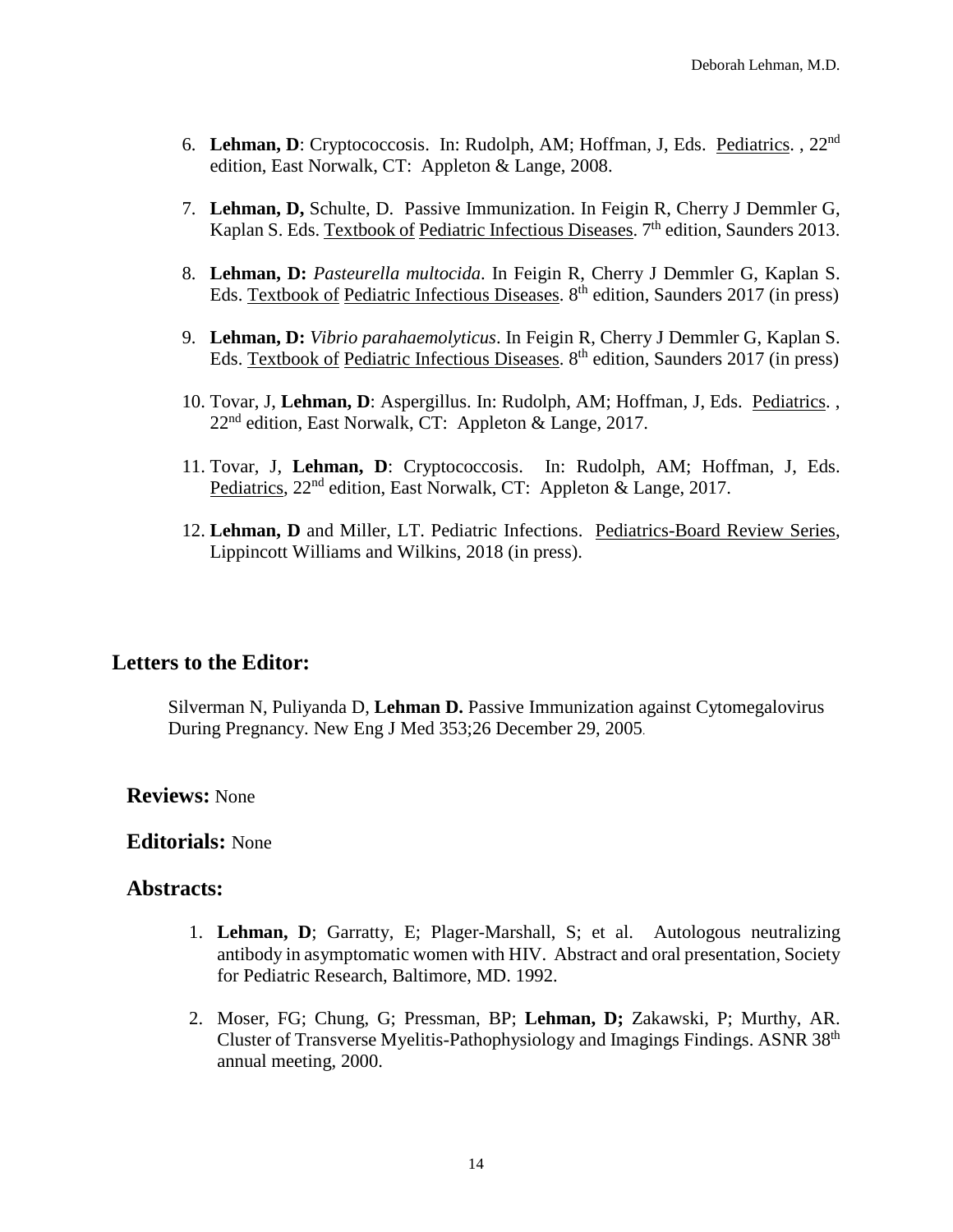- 6. **Lehman, D**: Cryptococcosis. In: Rudolph, AM; Hoffman, J, Eds. Pediatrics. , 22nd edition, East Norwalk, CT: Appleton & Lange, 2008.
- 7. **Lehman, D,** Schulte, D. Passive Immunization. In Feigin R, Cherry J Demmler G, Kaplan S. Eds. Textbook of Pediatric Infectious Diseases. 7<sup>th</sup> edition, Saunders 2013.
- 8. **Lehman, D:** *Pasteurella multocida*. In Feigin R, Cherry J Demmler G, Kaplan S. Eds. Textbook of Pediatric Infectious Diseases.  $8<sup>th</sup>$  edition, Saunders 2017 (in press)
- 9. **Lehman, D:** *Vibrio parahaemolyticus*. In Feigin R, Cherry J Demmler G, Kaplan S. Eds. Textbook of Pediatric Infectious Diseases. 8<sup>th</sup> edition, Saunders 2017 (in press)
- 10. Tovar, J, **Lehman, D**: Aspergillus. In: Rudolph, AM; Hoffman, J, Eds. Pediatrics. ,  $22<sup>nd</sup>$  edition, East Norwalk, CT: Appleton & Lange, 2017.
- 11. Tovar, J, **Lehman, D**: Cryptococcosis. In: Rudolph, AM; Hoffman, J, Eds. Pediatrics,  $22<sup>nd</sup>$  edition, East Norwalk, CT: Appleton & Lange, 2017.
- 12. **Lehman, D** and Miller, LT. Pediatric Infections. Pediatrics-Board Review Series, Lippincott Williams and Wilkins, 2018 (in press).

## **Letters to the Editor:**

Silverman N, Puliyanda D, **Lehman D.** Passive Immunization against Cytomegalovirus During Pregnancy. New Eng J Med 353;26 December 29, 2005.

### **Reviews:** None

### **Editorials:** None

### **Abstracts:**

- 1. **Lehman, D**; Garratty, E; Plager-Marshall, S; et al. Autologous neutralizing antibody in asymptomatic women with HIV. Abstract and oral presentation, Society for Pediatric Research, Baltimore, MD. 1992.
- 2. Moser, FG; Chung, G; Pressman, BP; **Lehman, D;** Zakawski, P; Murthy, AR. Cluster of Transverse Myelitis-Pathophysiology and Imagings Findings. ASNR 38th annual meeting, 2000.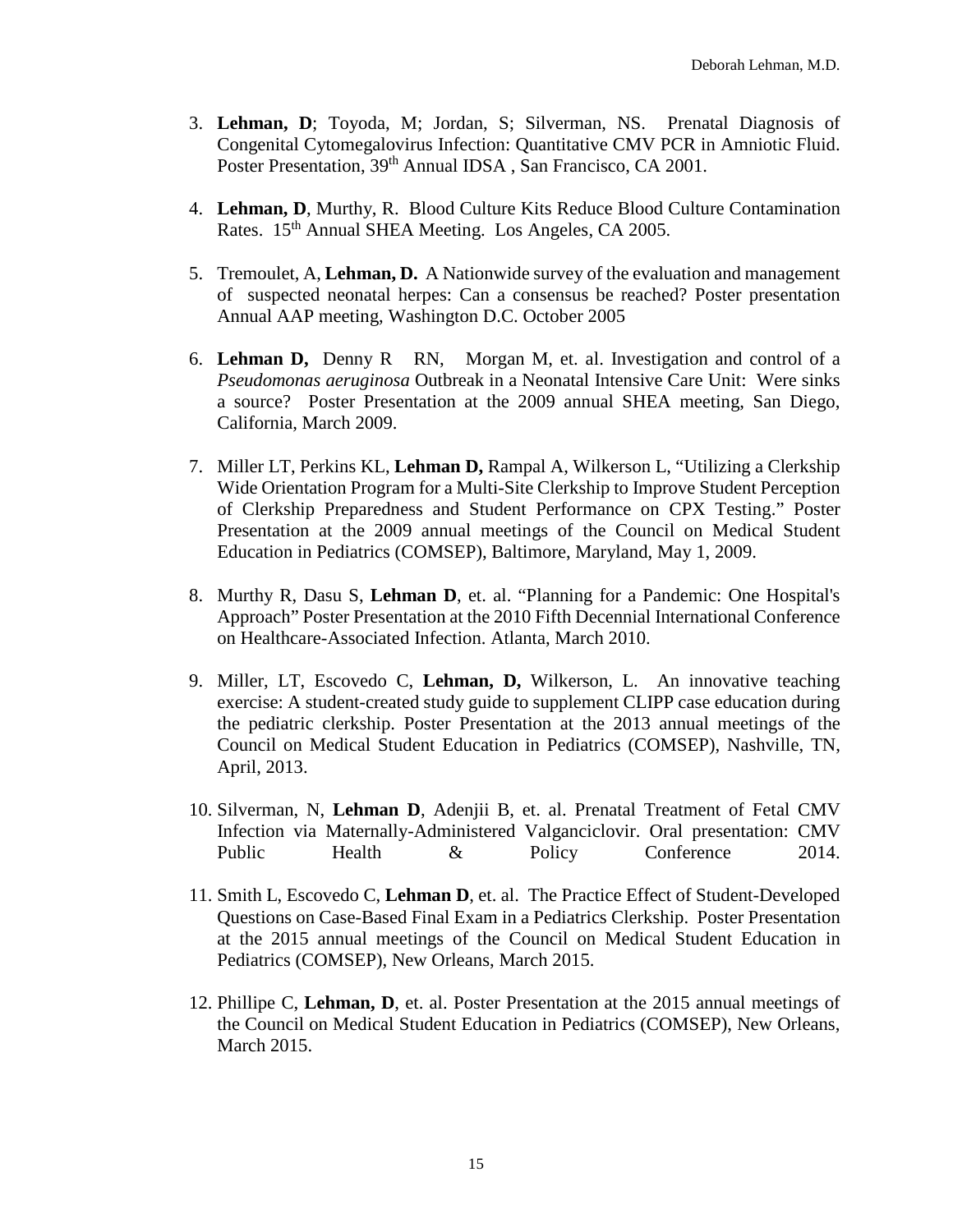- 3. **Lehman, D**; Toyoda, M; Jordan, S; Silverman, NS. Prenatal Diagnosis of Congenital Cytomegalovirus Infection: Quantitative CMV PCR in Amniotic Fluid. Poster Presentation, 39<sup>th</sup> Annual IDSA, San Francisco, CA 2001.
- 4. **Lehman, D**, Murthy, R. Blood Culture Kits Reduce Blood Culture Contamination Rates. 15th Annual SHEA Meeting. Los Angeles, CA 2005.
- 5. Tremoulet, A, **Lehman, D.** A Nationwide survey of the evaluation and management of suspected neonatal herpes: Can a consensus be reached? Poster presentation Annual AAP meeting, Washington D.C. October 2005
- 6. **Lehman D,** Denny R RN, Morgan M, et. al. Investigation and control of a *Pseudomonas aeruginosa* Outbreak in a Neonatal Intensive Care Unit: Were sinks a source?Poster Presentation at the 2009 annual SHEA meeting, San Diego, California, March 2009.
- 7. Miller LT, Perkins KL, **Lehman D,** Rampal A, Wilkerson L, "Utilizing a Clerkship Wide Orientation Program for a Multi-Site Clerkship to Improve Student Perception of Clerkship Preparedness and Student Performance on CPX Testing." Poster Presentation at the 2009 annual meetings of the Council on Medical Student Education in Pediatrics (COMSEP), Baltimore, Maryland, May 1, 2009.
- 8. Murthy R, Dasu S, **Lehman D**, et. al. "Planning for a Pandemic: One Hospital's Approach" Poster Presentation at the 2010 Fifth Decennial International Conference on Healthcare-Associated Infection. Atlanta, March 2010.
- 9. Miller, LT, Escovedo C, **Lehman, D,** Wilkerson, L. An innovative teaching exercise: A student-created study guide to supplement CLIPP case education during the pediatric clerkship. Poster Presentation at the 2013 annual meetings of the Council on Medical Student Education in Pediatrics (COMSEP), Nashville, TN, April, 2013.
- 10. Silverman, N, **Lehman D**, Adenjii B, et. al. Prenatal Treatment of Fetal CMV Infection via Maternally-Administered Valganciclovir. Oral presentation: CMV Public Health & Policy Conference 2014.
- 11. Smith L, Escovedo C, **Lehman D**, et. al. The Practice Effect of Student-Developed Questions on Case-Based Final Exam in a Pediatrics Clerkship. Poster Presentation at the 2015 annual meetings of the Council on Medical Student Education in Pediatrics (COMSEP), New Orleans, March 2015.
- 12. Phillipe C, **Lehman, D**, et. al. Poster Presentation at the 2015 annual meetings of the Council on Medical Student Education in Pediatrics (COMSEP), New Orleans, March 2015.